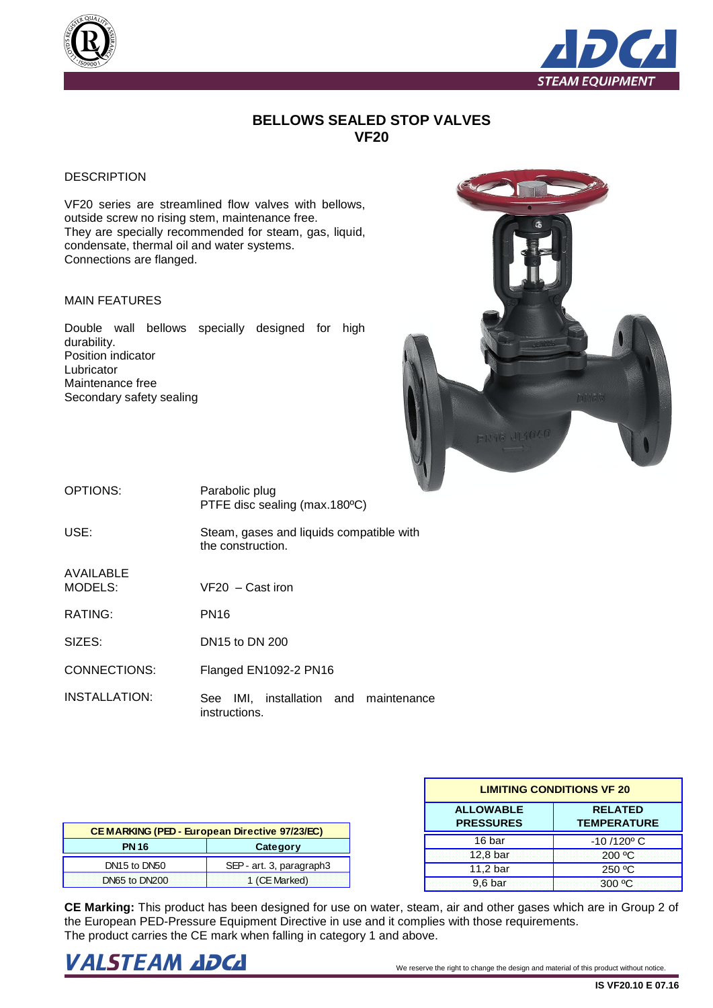



## **BELLOWS SEALED STOP VALVES VF20**

## **DESCRIPTION**

VF20 series are streamlined flow valves with bellows, outside screw no rising stem, maintenance free. They are specially recommended for steam, gas, liquid, condensate, thermal oil and water systems. Connections are flanged.

## MAIN FEATURES

Double wall bellows specially designed for high durability. Position indicator Lubricator Maintenance free Secondary safety sealing



| OPTIONS:             | Parabolic plug<br>PTFE disc sealing (max.180°C)               |  |  |
|----------------------|---------------------------------------------------------------|--|--|
| USE:                 | Steam, gases and liquids compatible with<br>the construction. |  |  |
| AVAILABLE<br>MODELS: | VF20 – Cast iron                                              |  |  |
| RATING:              | <b>PN16</b>                                                   |  |  |
| SIZES:               | DN <sub>15</sub> to DN 200                                    |  |  |
| CONNECTIONS:         | Flanged EN1092-2 PN16                                         |  |  |
| INSTALLATION:        | IMI, installation and maintenance<br>See<br>instructions.     |  |  |

| <b>CEMARKING (PED - European Directive 97/23/EC)</b> |                          |  |  |  |
|------------------------------------------------------|--------------------------|--|--|--|
| <b>PN 16</b>                                         | Category                 |  |  |  |
| DN15 to DN50                                         | SEP - art. 3, paragraph3 |  |  |  |
| DN65 to DN200                                        | 1 (CE Marked)            |  |  |  |

| <b>LIMITING CONDITIONS VF 20</b>     |                                      |  |  |  |
|--------------------------------------|--------------------------------------|--|--|--|
| <b>ALLOWABLE</b><br><b>PRESSURES</b> | <b>RELATED</b><br><b>TEMPERATURE</b> |  |  |  |
| 16 bar                               | $-10/120$ °C                         |  |  |  |
| 12,8 bar                             | 200 °C                               |  |  |  |
| 11,2 bar                             | 250 °C                               |  |  |  |
| 9.6 <sub>bar</sub>                   | $300 \degree C$                      |  |  |  |

**CE Marking:** This product has been designed for use on water, steam, air and other gases which are in Group 2 of the European PED-Pressure Equipment Directive in use and it complies with those requirements. The product carries the CE mark when falling in category 1 and above.